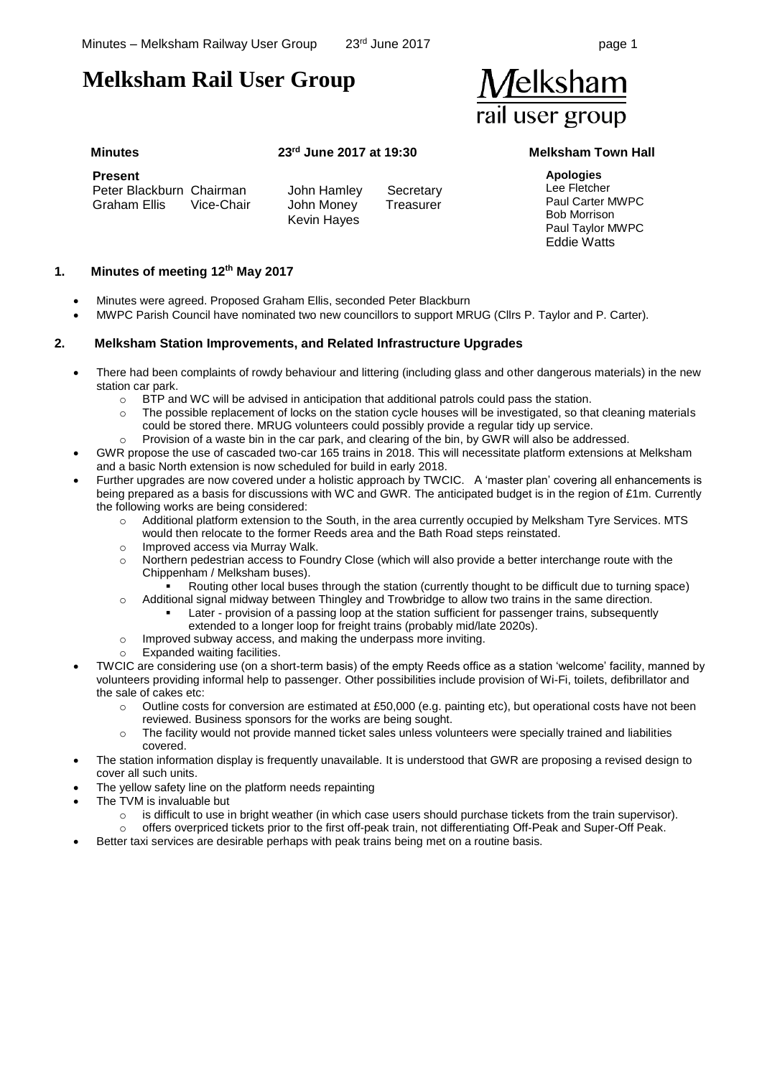# **Melksham Rail User Group**

| <b>Melksham</b> |
|-----------------|
| rail user group |

**Present**  Peter Blackburn Chairman Graham Ellis Vice-Chair

Kevin Hayes

John Hamley Secretary John Money Treasurer

# **Minutes 23rd June 2017 at 19:30 Melksham Town Hall**

**Apologies** Lee Fletcher Paul Carter MWPC Bob Morrison Paul Taylor MWPC Eddie Watts

### **1. Minutes of meeting 12th May 2017**

- Minutes were agreed. Proposed Graham Ellis, seconded Peter Blackburn
- MWPC Parish Council have nominated two new councillors to support MRUG (Cllrs P. Taylor and P. Carter).

### **2. Melksham Station Improvements, and Related Infrastructure Upgrades**

- There had been complaints of rowdy behaviour and littering (including glass and other dangerous materials) in the new station car park.
	- $\circ$  BTP and WC will be advised in anticipation that additional patrols could pass the station.
	- o The possible replacement of locks on the station cycle houses will be investigated, so that cleaning materials could be stored there. MRUG volunteers could possibly provide a regular tidy up service.
	- o Provision of a waste bin in the car park, and clearing of the bin, by GWR will also be addressed.
- GWR propose the use of cascaded two-car 165 trains in 2018. This will necessitate platform extensions at Melksham and a basic North extension is now scheduled for build in early 2018.
- Further upgrades are now covered under a holistic approach by TWCIC. A 'master plan' covering all enhancements is being prepared as a basis for discussions with WC and GWR. The anticipated budget is in the region of £1m. Currently the following works are being considered:
	- o Additional platform extension to the South, in the area currently occupied by Melksham Tyre Services. MTS would then relocate to the former Reeds area and the Bath Road steps reinstated.
	- o Improved access via Murray Walk.
	- o Northern pedestrian access to Foundry Close (which will also provide a better interchange route with the Chippenham / Melksham buses).
		- Routing other local buses through the station (currently thought to be difficult due to turning space)
	- o Additional signal midway between Thingley and Trowbridge to allow two trains in the same direction.
		- Later provision of a passing loop at the station sufficient for passenger trains, subsequently extended to a longer loop for freight trains (probably mid/late 2020s).
	- o Improved subway access, and making the underpass more inviting.
	- Expanded waiting facilities.
- TWCIC are considering use (on a short-term basis) of the empty Reeds office as a station 'welcome' facility, manned by volunteers providing informal help to passenger. Other possibilities include provision of Wi-Fi, toilets, defibrillator and the sale of cakes etc:
	- o Outline costs for conversion are estimated at £50,000 (e.g. painting etc), but operational costs have not been reviewed. Business sponsors for the works are being sought.
	- o The facility would not provide manned ticket sales unless volunteers were specially trained and liabilities covered.
	- The station information display is frequently unavailable. It is understood that GWR are proposing a revised design to cover all such units.
- The yellow safety line on the platform needs repainting
	- The TVM is invaluable but
		- $\circ$  is difficult to use in bright weather (in which case users should purchase tickets from the train supervisor).
		- offers overpriced tickets prior to the first off-peak train, not differentiating Off-Peak and Super-Off Peak.
- Better taxi services are desirable perhaps with peak trains being met on a routine basis.